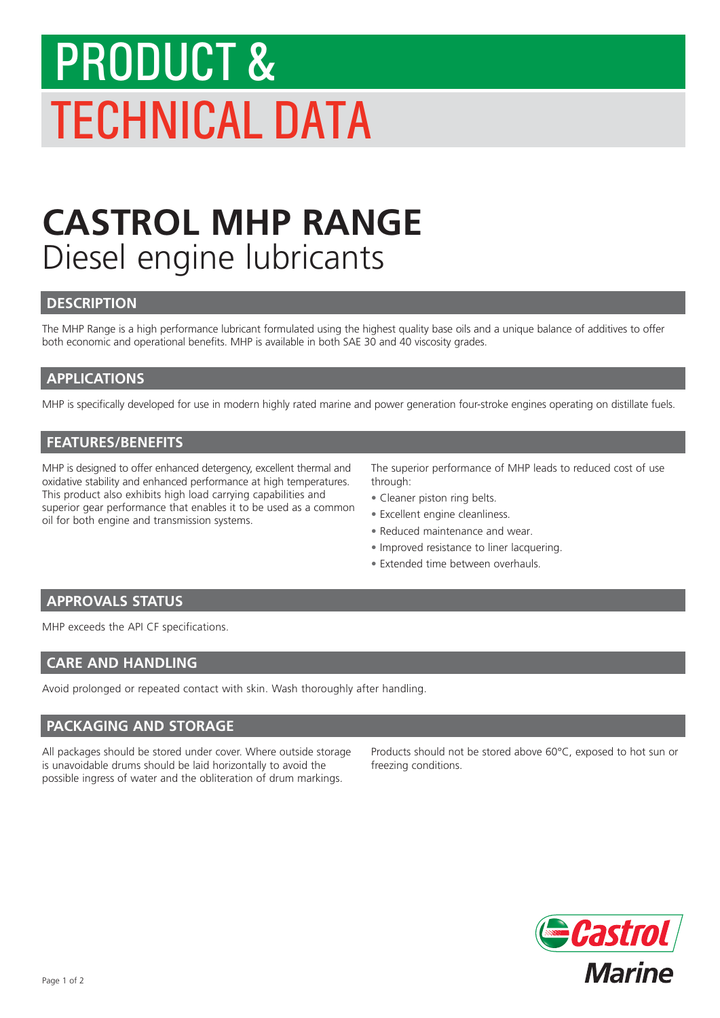# PRODUCT & TECHNICAL DATA

### **CASTROL MHP RANGE** Diesel engine lubricants

#### **DESCRIPTION**

The MHP Range is a high performance lubricant formulated using the highest quality base oils and a unique balance of additives to offer both economic and operational benefits. MHP is available in both SAE 30 and 40 viscosity grades.

#### **APPLICATIONS**

MHP is specifically developed for use in modern highly rated marine and power generation four-stroke engines operating on distillate fuels.

#### **FEATURES/BENEFITS**

MHP is designed to offer enhanced detergency, excellent thermal and oxidative stability and enhanced performance at high temperatures. This product also exhibits high load carrying capabilities and superior gear performance that enables it to be used as a common oil for both engine and transmission systems.

The superior performance of MHP leads to reduced cost of use through:

- Cleaner piston ring belts.
- Excellent engine cleanliness.
- Reduced maintenance and wear.
- Improved resistance to liner lacquering.
- Extended time between overhauls.

#### **APPROVALS STATUS**

MHP exceeds the API CF specifications.

#### **CARE AND HANDLING**

Avoid prolonged or repeated contact with skin. Wash thoroughly after handling.

#### **PACKAGING AND STORAGE**

All packages should be stored under cover. Where outside storage is unavoidable drums should be laid horizontally to avoid the possible ingress of water and the obliteration of drum markings.

Products should not be stored above 60°C, exposed to hot sun or freezing conditions.